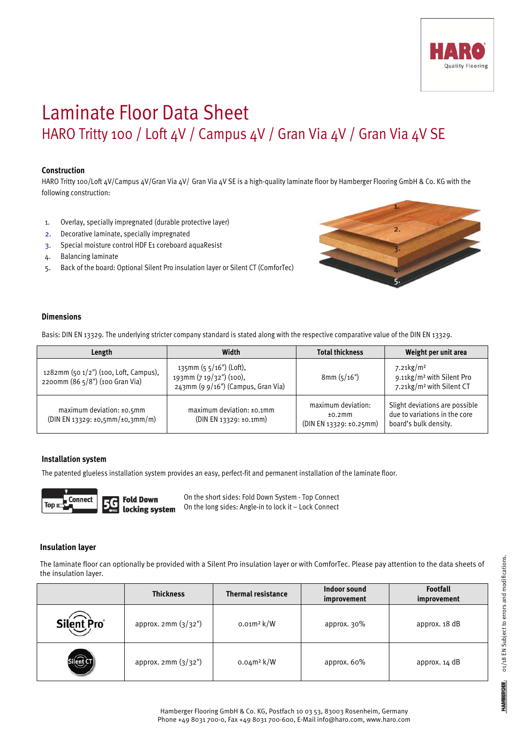

# Laminate Floor Data Sheet HARO Tritty 100 / Loft 4V / Campus 4V / Gran Via 4V / Gran Via 4V SE

## **Construction**

HARO Tritty 100/Loft 4V/Campus 4V/Gran Via 4V/ Gran Via 4V SE is a high-quality laminate floor by Hamberger Flooring GmbH & Co. KG with the following construction:

- 1. Overlay, specially impregnated (durable protective layer)
- 2. Decorative laminate, specially impregnated
- 3. Special moisture control HDF E1 coreboard aquaResist
- 4. Balancing laminate
- 5. Back of the board: Optional Silent Pro insulation layer or Silent CT (ComforTec)



### **Dimensions**

Basis: DIN EN 13329. The underlying stricter company standard is stated along with the respective comparative value of the DIN EN 13329.

| Length                                                                   | Width                                                                                     | <b>Total thickness</b>                                  | Weight per unit area                                                                          |
|--------------------------------------------------------------------------|-------------------------------------------------------------------------------------------|---------------------------------------------------------|-----------------------------------------------------------------------------------------------|
| 1282mm (50 1/2") (100, Loft, Campus),<br>2200mm (86 5/8") (100 Gran Via) | 135mm $(5 5/16)$ (Loft),<br>193mm (7 19/32") (100),<br>243mm (9 9/16") (Campus, Gran Via) | 8mm(5/16")                                              | 7.21 $kg/m2$<br>9.11kg/m <sup>2</sup> with Silent Pro<br>7.21kg/m <sup>2</sup> with Silent CT |
| maximum deviation: $±0.5$ mm<br>(DIN EN 13329: ±0,5mm/±0,3mm/m)          | maximum deviation: $±0.1$ mm<br>(DIN EN 13329: ±0.1mm)                                    | maximum deviation:<br>±0.2mm<br>(DIN EN 13329: ±0.25mm) | Slight deviations are possible<br>due to variations in the core<br>board's bulk density.      |

#### **Installation system**

The patented glueless installation system provides an easy, perfect-fit and permanent installation of the laminate floor.



On the short sides: Fold Down System - Top Connect On the long sides: Angle-in to lock it – Lock Connect

#### **Insulation layer**

The laminate floor can optionally be provided with a Silent Pro insulation layer or with ComforTec. Please pay attention to the data sheets of the insulation layer.

|            | <b>Thickness</b>    | <b>Thermal resistance</b> | Indoor sound<br>improvement | <b>Footfall</b><br>improvement |
|------------|---------------------|---------------------------|-----------------------------|--------------------------------|
| Silent Pro | approx. 2mm (3/32") | $0.01m^2$ k/W             | approx. 30%                 | approx. 18 dB                  |
|            | approx. 2mm (3/32") | $0.04m^2 k/W$             | approx. 60%                 | approx. 14 dB                  |